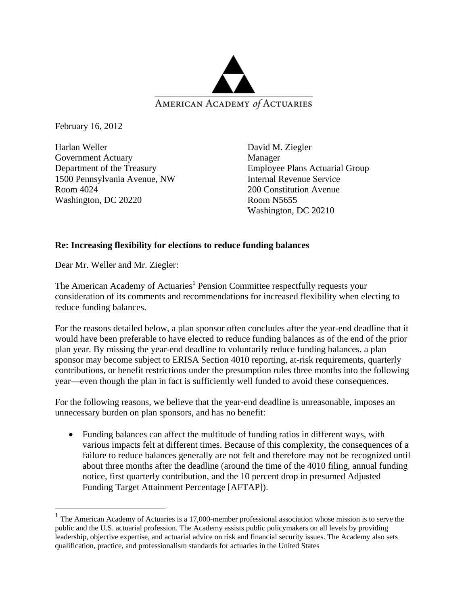

February 16, 2012

 $\overline{a}$ 

Harlan Weller Government Actuary Department of the Treasury 1500 Pennsylvania Avenue, NW Room 4024 Washington, DC 20220

David M. Ziegler Manager Employee Plans Actuarial Group Internal Revenue Service 200 Constitution Avenue Room N5655 Washington, DC 20210

### **Re: Increasing flexibility for elections to reduce funding balances**

Dear Mr. Weller and Mr. Ziegler:

The American Academy of Actuaries<sup>1</sup> Pension Committee respectfully requests your consideration of its comments and recommendations for increased flexibility when electing to reduce funding balances.

For the reasons detailed below, a plan sponsor often concludes after the year-end deadline that it would have been preferable to have elected to reduce funding balances as of the end of the prior plan year. By missing the year-end deadline to voluntarily reduce funding balances, a plan sponsor may become subject to ERISA Section 4010 reporting, at-risk requirements, quarterly contributions, or benefit restrictions under the presumption rules three months into the following year—even though the plan in fact is sufficiently well funded to avoid these consequences.

For the following reasons, we believe that the year-end deadline is unreasonable, imposes an unnecessary burden on plan sponsors, and has no benefit:

• Funding balances can affect the multitude of funding ratios in different ways, with various impacts felt at different times. Because of this complexity, the consequences of a failure to reduce balances generally are not felt and therefore may not be recognized until about three months after the deadline (around the time of the 4010 filing, annual funding notice, first quarterly contribution, and the 10 percent drop in presumed Adjusted Funding Target Attainment Percentage [AFTAP]).

 $1$  The American Academy of Actuaries is a 17,000-member professional association whose mission is to serve the public and the U.S. actuarial profession. The Academy assists public policymakers on all levels by providing leadership, objective expertise, and actuarial advice on risk and financial security issues. The Academy also sets qualification, practice, and professionalism standards for actuaries in the United States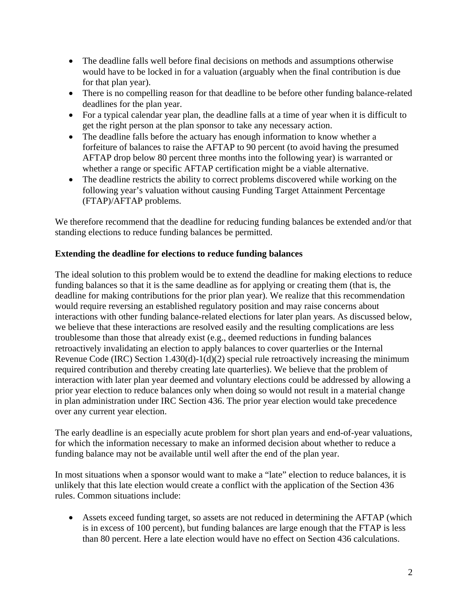- The deadline falls well before final decisions on methods and assumptions otherwise would have to be locked in for a valuation (arguably when the final contribution is due for that plan year).
- There is no compelling reason for that deadline to be before other funding balance-related deadlines for the plan year.
- For a typical calendar year plan, the deadline falls at a time of year when it is difficult to get the right person at the plan sponsor to take any necessary action.
- The deadline falls before the actuary has enough information to know whether a forfeiture of balances to raise the AFTAP to 90 percent (to avoid having the presumed AFTAP drop below 80 percent three months into the following year) is warranted or whether a range or specific AFTAP certification might be a viable alternative.
- The deadline restricts the ability to correct problems discovered while working on the following year's valuation without causing Funding Target Attainment Percentage (FTAP)/AFTAP problems.

We therefore recommend that the deadline for reducing funding balances be extended and/or that standing elections to reduce funding balances be permitted.

# **Extending the deadline for elections to reduce funding balances**

The ideal solution to this problem would be to extend the deadline for making elections to reduce funding balances so that it is the same deadline as for applying or creating them (that is, the deadline for making contributions for the prior plan year). We realize that this recommendation would require reversing an established regulatory position and may raise concerns about interactions with other funding balance-related elections for later plan years. As discussed below, we believe that these interactions are resolved easily and the resulting complications are less troublesome than those that already exist (e.g., deemed reductions in funding balances retroactively invalidating an election to apply balances to cover quarterlies or the Internal Revenue Code (IRC) Section 1.430(d)-1(d)(2) special rule retroactively increasing the minimum required contribution and thereby creating late quarterlies). We believe that the problem of interaction with later plan year deemed and voluntary elections could be addressed by allowing a prior year election to reduce balances only when doing so would not result in a material change in plan administration under IRC Section 436. The prior year election would take precedence over any current year election.

The early deadline is an especially acute problem for short plan years and end-of-year valuations, for which the information necessary to make an informed decision about whether to reduce a funding balance may not be available until well after the end of the plan year.

In most situations when a sponsor would want to make a "late" election to reduce balances, it is unlikely that this late election would create a conflict with the application of the Section 436 rules. Common situations include:

• Assets exceed funding target, so assets are not reduced in determining the AFTAP (which is in excess of 100 percent), but funding balances are large enough that the FTAP is less than 80 percent. Here a late election would have no effect on Section 436 calculations.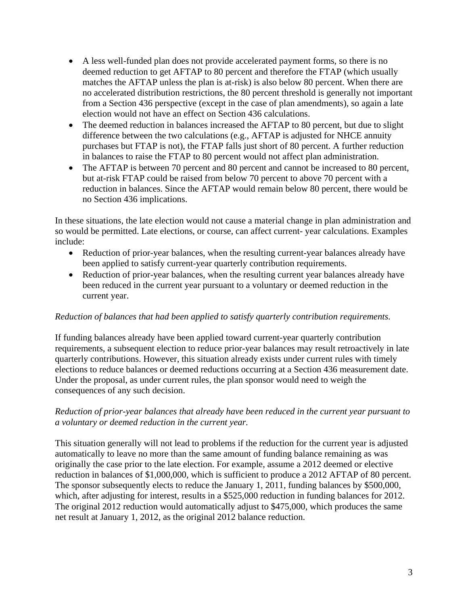- A less well-funded plan does not provide accelerated payment forms, so there is no deemed reduction to get AFTAP to 80 percent and therefore the FTAP (which usually matches the AFTAP unless the plan is at-risk) is also below 80 percent. When there are no accelerated distribution restrictions, the 80 percent threshold is generally not important from a Section 436 perspective (except in the case of plan amendments), so again a late election would not have an effect on Section 436 calculations.
- The deemed reduction in balances increased the AFTAP to 80 percent, but due to slight difference between the two calculations (e.g., AFTAP is adjusted for NHCE annuity purchases but FTAP is not), the FTAP falls just short of 80 percent. A further reduction in balances to raise the FTAP to 80 percent would not affect plan administration.
- The AFTAP is between 70 percent and 80 percent and cannot be increased to 80 percent, but at-risk FTAP could be raised from below 70 percent to above 70 percent with a reduction in balances. Since the AFTAP would remain below 80 percent, there would be no Section 436 implications.

In these situations, the late election would not cause a material change in plan administration and so would be permitted. Late elections, or course, can affect current- year calculations. Examples include:

- Reduction of prior-year balances, when the resulting current-year balances already have been applied to satisfy current-year quarterly contribution requirements.
- Reduction of prior-year balances, when the resulting current year balances already have been reduced in the current year pursuant to a voluntary or deemed reduction in the current year.

# *Reduction of balances that had been applied to satisfy quarterly contribution requirements.*

If funding balances already have been applied toward current-year quarterly contribution requirements, a subsequent election to reduce prior-year balances may result retroactively in late quarterly contributions. However, this situation already exists under current rules with timely elections to reduce balances or deemed reductions occurring at a Section 436 measurement date. Under the proposal, as under current rules, the plan sponsor would need to weigh the consequences of any such decision.

# *Reduction of prior-year balances that already have been reduced in the current year pursuant to a voluntary or deemed reduction in the current year.*

This situation generally will not lead to problems if the reduction for the current year is adjusted automatically to leave no more than the same amount of funding balance remaining as was originally the case prior to the late election. For example, assume a 2012 deemed or elective reduction in balances of \$1,000,000, which is sufficient to produce a 2012 AFTAP of 80 percent. The sponsor subsequently elects to reduce the January 1, 2011, funding balances by \$500,000, which, after adjusting for interest, results in a \$525,000 reduction in funding balances for 2012. The original 2012 reduction would automatically adjust to \$475,000, which produces the same net result at January 1, 2012, as the original 2012 balance reduction.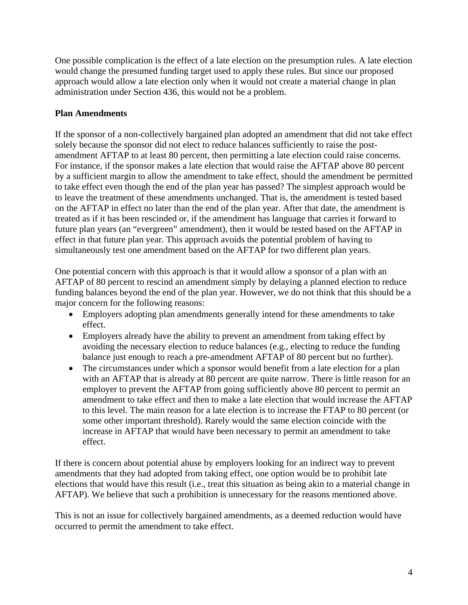One possible complication is the effect of a late election on the presumption rules. A late election would change the presumed funding target used to apply these rules. But since our proposed approach would allow a late election only when it would not create a material change in plan administration under Section 436, this would not be a problem.

# **Plan Amendments**

If the sponsor of a non-collectively bargained plan adopted an amendment that did not take effect solely because the sponsor did not elect to reduce balances sufficiently to raise the postamendment AFTAP to at least 80 percent, then permitting a late election could raise concerns. For instance, if the sponsor makes a late election that would raise the AFTAP above 80 percent by a sufficient margin to allow the amendment to take effect, should the amendment be permitted to take effect even though the end of the plan year has passed? The simplest approach would be to leave the treatment of these amendments unchanged. That is, the amendment is tested based on the AFTAP in effect no later than the end of the plan year. After that date, the amendment is treated as if it has been rescinded or, if the amendment has language that carries it forward to future plan years (an "evergreen" amendment), then it would be tested based on the AFTAP in effect in that future plan year. This approach avoids the potential problem of having to simultaneously test one amendment based on the AFTAP for two different plan years.

One potential concern with this approach is that it would allow a sponsor of a plan with an AFTAP of 80 percent to rescind an amendment simply by delaying a planned election to reduce funding balances beyond the end of the plan year. However, we do not think that this should be a major concern for the following reasons:

- Employers adopting plan amendments generally intend for these amendments to take effect.
- Employers already have the ability to prevent an amendment from taking effect by avoiding the necessary election to reduce balances (e.g., electing to reduce the funding balance just enough to reach a pre-amendment AFTAP of 80 percent but no further).
- The circumstances under which a sponsor would benefit from a late election for a plan with an AFTAP that is already at 80 percent are quite narrow. There is little reason for an employer to prevent the AFTAP from going sufficiently above 80 percent to permit an amendment to take effect and then to make a late election that would increase the AFTAP to this level. The main reason for a late election is to increase the FTAP to 80 percent (or some other important threshold). Rarely would the same election coincide with the increase in AFTAP that would have been necessary to permit an amendment to take effect.

If there is concern about potential abuse by employers looking for an indirect way to prevent amendments that they had adopted from taking effect, one option would be to prohibit late elections that would have this result (i.e., treat this situation as being akin to a material change in AFTAP). We believe that such a prohibition is unnecessary for the reasons mentioned above.

This is not an issue for collectively bargained amendments, as a deemed reduction would have occurred to permit the amendment to take effect.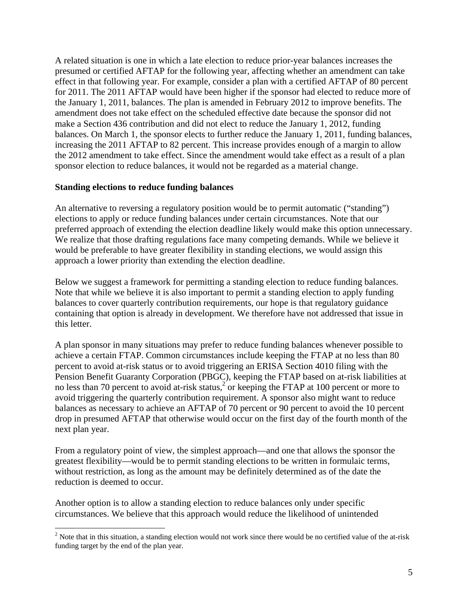A related situation is one in which a late election to reduce prior-year balances increases the presumed or certified AFTAP for the following year, affecting whether an amendment can take effect in that following year. For example, consider a plan with a certified AFTAP of 80 percent for 2011. The 2011 AFTAP would have been higher if the sponsor had elected to reduce more of the January 1, 2011, balances. The plan is amended in February 2012 to improve benefits. The amendment does not take effect on the scheduled effective date because the sponsor did not make a Section 436 contribution and did not elect to reduce the January 1, 2012, funding balances. On March 1, the sponsor elects to further reduce the January 1, 2011, funding balances, increasing the 2011 AFTAP to 82 percent. This increase provides enough of a margin to allow the 2012 amendment to take effect. Since the amendment would take effect as a result of a plan sponsor election to reduce balances, it would not be regarded as a material change.

### **Standing elections to reduce funding balances**

1

An alternative to reversing a regulatory position would be to permit automatic ("standing") elections to apply or reduce funding balances under certain circumstances. Note that our preferred approach of extending the election deadline likely would make this option unnecessary. We realize that those drafting regulations face many competing demands. While we believe it would be preferable to have greater flexibility in standing elections, we would assign this approach a lower priority than extending the election deadline.

Below we suggest a framework for permitting a standing election to reduce funding balances. Note that while we believe it is also important to permit a standing election to apply funding balances to cover quarterly contribution requirements, our hope is that regulatory guidance containing that option is already in development. We therefore have not addressed that issue in this letter.

A plan sponsor in many situations may prefer to reduce funding balances whenever possible to achieve a certain FTAP. Common circumstances include keeping the FTAP at no less than 80 percent to avoid at-risk status or to avoid triggering an ERISA Section 4010 filing with the Pension Benefit Guaranty Corporation (PBGC), keeping the FTAP based on at-risk liabilities at no less than 70 percent to avoid at-risk status,<sup>2</sup> or keeping the FTAP at 100 percent or more to avoid triggering the quarterly contribution requirement. A sponsor also might want to reduce balances as necessary to achieve an AFTAP of 70 percent or 90 percent to avoid the 10 percent drop in presumed AFTAP that otherwise would occur on the first day of the fourth month of the next plan year.

From a regulatory point of view, the simplest approach—and one that allows the sponsor the greatest flexibility—would be to permit standing elections to be written in formulaic terms, without restriction, as long as the amount may be definitely determined as of the date the reduction is deemed to occur.

Another option is to allow a standing election to reduce balances only under specific circumstances. We believe that this approach would reduce the likelihood of unintended

 $2^{2}$  Note that in this situation, a standing election would not work since there would be no certified value of the at-risk funding target by the end of the plan year.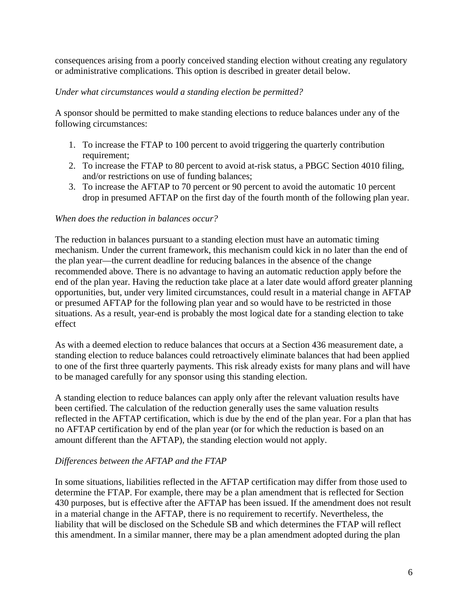consequences arising from a poorly conceived standing election without creating any regulatory or administrative complications. This option is described in greater detail below.

## *Under what circumstances would a standing election be permitted?*

A sponsor should be permitted to make standing elections to reduce balances under any of the following circumstances:

- 1. To increase the FTAP to 100 percent to avoid triggering the quarterly contribution requirement;
- 2. To increase the FTAP to 80 percent to avoid at-risk status, a PBGC Section 4010 filing, and/or restrictions on use of funding balances;
- 3. To increase the AFTAP to 70 percent or 90 percent to avoid the automatic 10 percent drop in presumed AFTAP on the first day of the fourth month of the following plan year.

### *When does the reduction in balances occur?*

The reduction in balances pursuant to a standing election must have an automatic timing mechanism. Under the current framework, this mechanism could kick in no later than the end of the plan year—the current deadline for reducing balances in the absence of the change recommended above. There is no advantage to having an automatic reduction apply before the end of the plan year. Having the reduction take place at a later date would afford greater planning opportunities, but, under very limited circumstances, could result in a material change in AFTAP or presumed AFTAP for the following plan year and so would have to be restricted in those situations. As a result, year-end is probably the most logical date for a standing election to take effect

As with a deemed election to reduce balances that occurs at a Section 436 measurement date, a standing election to reduce balances could retroactively eliminate balances that had been applied to one of the first three quarterly payments. This risk already exists for many plans and will have to be managed carefully for any sponsor using this standing election.

A standing election to reduce balances can apply only after the relevant valuation results have been certified. The calculation of the reduction generally uses the same valuation results reflected in the AFTAP certification, which is due by the end of the plan year. For a plan that has no AFTAP certification by end of the plan year (or for which the reduction is based on an amount different than the AFTAP), the standing election would not apply.

### *Differences between the AFTAP and the FTAP*

In some situations, liabilities reflected in the AFTAP certification may differ from those used to determine the FTAP. For example, there may be a plan amendment that is reflected for Section 430 purposes, but is effective after the AFTAP has been issued. If the amendment does not result in a material change in the AFTAP, there is no requirement to recertify. Nevertheless, the liability that will be disclosed on the Schedule SB and which determines the FTAP will reflect this amendment. In a similar manner, there may be a plan amendment adopted during the plan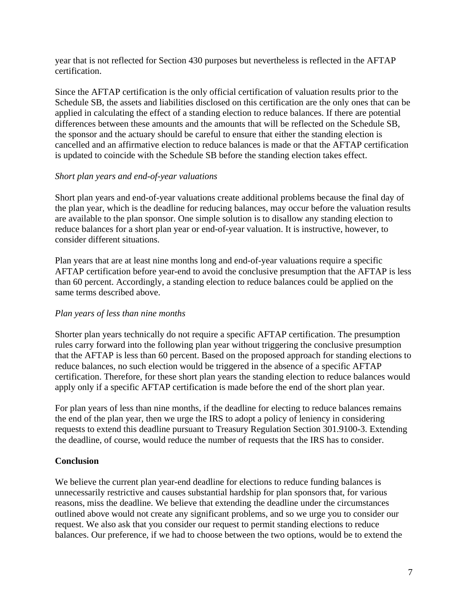year that is not reflected for Section 430 purposes but nevertheless is reflected in the AFTAP certification.

Since the AFTAP certification is the only official certification of valuation results prior to the Schedule SB, the assets and liabilities disclosed on this certification are the only ones that can be applied in calculating the effect of a standing election to reduce balances. If there are potential differences between these amounts and the amounts that will be reflected on the Schedule SB, the sponsor and the actuary should be careful to ensure that either the standing election is cancelled and an affirmative election to reduce balances is made or that the AFTAP certification is updated to coincide with the Schedule SB before the standing election takes effect.

# *Short plan years and end-of-year valuations*

Short plan years and end-of-year valuations create additional problems because the final day of the plan year, which is the deadline for reducing balances, may occur before the valuation results are available to the plan sponsor. One simple solution is to disallow any standing election to reduce balances for a short plan year or end-of-year valuation. It is instructive, however, to consider different situations.

Plan years that are at least nine months long and end-of-year valuations require a specific AFTAP certification before year-end to avoid the conclusive presumption that the AFTAP is less than 60 percent. Accordingly, a standing election to reduce balances could be applied on the same terms described above.

# *Plan years of less than nine months*

Shorter plan years technically do not require a specific AFTAP certification. The presumption rules carry forward into the following plan year without triggering the conclusive presumption that the AFTAP is less than 60 percent. Based on the proposed approach for standing elections to reduce balances, no such election would be triggered in the absence of a specific AFTAP certification. Therefore, for these short plan years the standing election to reduce balances would apply only if a specific AFTAP certification is made before the end of the short plan year.

For plan years of less than nine months, if the deadline for electing to reduce balances remains the end of the plan year, then we urge the IRS to adopt a policy of leniency in considering requests to extend this deadline pursuant to Treasury Regulation Section 301.9100-3. Extending the deadline, of course, would reduce the number of requests that the IRS has to consider.

# **Conclusion**

We believe the current plan year-end deadline for elections to reduce funding balances is unnecessarily restrictive and causes substantial hardship for plan sponsors that, for various reasons, miss the deadline. We believe that extending the deadline under the circumstances outlined above would not create any significant problems, and so we urge you to consider our request. We also ask that you consider our request to permit standing elections to reduce balances. Our preference, if we had to choose between the two options, would be to extend the